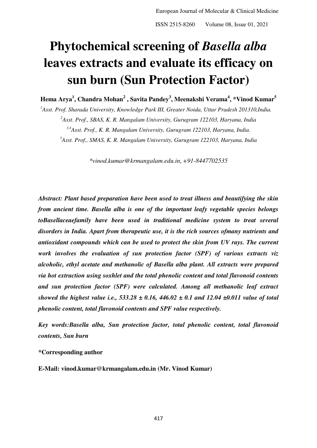# **Phytochemical screening of** *Basella alba* **leaves extracts and evaluate its efficacy on sun burn (Sun Protection Factor)**

**<sup>1</sup> <sup>2</sup> <sup>3</sup> <sup>4</sup> <sup>5</sup> Hema Arya , Chandra Mohan , Savita Pandey , Meenakshi Verama , \*Vinod Kumar**

*Asst. Prof. Sharada University, Knowledge Park III, Greater Noida, Uttar Pradesh 201310,India. Asst. Prof., SBAS, K. R. Mangalam University, Gurugram 122103, Haryana, India 3,4Asst. Prof., K. R. Mangalam University, Gurugram 122103, Haryana, India. Asst. Prof., SMAS, K. R. Mangalam University, Gurugram 122103, Haryana, India*

*\*vinod.kumar@krmangalam.edu.in*, *+91-8447702535*

*Abstract: Plant based preparation have been used to treat illness and beautifying the skin from ancient time. Basella alba is one of the important leafy vegetable species belongs toBasellaceaefamily have been used in traditional medicine system to treat several disorders in India. Apart from therapeutic use, it is the rich sources ofmany nutrients and antioxidant compounds which can be used to protect the skin from UV rays. The current work involves the evaluation of sun protection factor (SPF) of various extracts viz alcoholic, ethyl acetate and methanolic of Basella alba plant. All extracts were prepared via hot extraction using soxhlet and the total phenolic content and total flavonoid contents and sun protection factor (SPF) were calculated. Among all methanolic leaf extract showed the highest value i.e., 533.28 ± 0.16, 446.02 ± 0.1 and 12.04 ±0.011 value of total phenolic content, total flavonoid contents and SPF value respectively.* 

*Key words:Basella alba, Sun protection factor, total phenolic content, total flavonoid contents, Sun burn* 

**\*Corresponding author** 

**E-Mail: vinod.kumar@krmangalam.edu.in (Mr. Vinod Kumar)**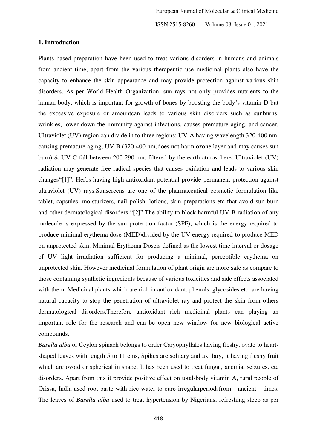#### **1. Introduction**

Plants based preparation have been used to treat various disorders in humans and animals from ancient time, apart from the various therapeutic use medicinal plants also have the capacity to enhance the skin appearance and may provide protection against various skin disorders. As per World Health Organization, sun rays not only provides nutrients to the human body, which is important for growth of bones by boosting the body's vitamin D but the excessive exposure or amountcan leads to various skin disorders such as sunburns, wrinkles, lower down the immunity against infections, causes premature aging, and cancer. Ultraviolet (UV) region can divide in to three regions: UV-A having wavelength 320-400 nm, causing premature aging, UV-B (320-400 nm)does not harm ozone layer and may causes sun burn) & UV-C fall between 200-290 nm, filtered by the earth atmosphere. Ultraviolet (UV) radiation may generate free radical species that causes oxidation and leads to various skin changes"[1]". Herbs having high antioxidant potential provide permanent protection against ultraviolet (UV) rays.Sunscreens are one of the pharmaceutical cosmetic formulation like tablet, capsules, moisturizers, nail polish, lotions, skin preparations etc that avoid sun burn and other dermatological disorders "[2]".The ability to block harmful UV-B radiation of any molecule is expressed by the sun protection factor (SPF), which is the energy required to produce minimal erythema dose (MED)divided by the UV energy required to produce MED on unprotected skin. Minimal Erythema Doseis defined as the lowest time interval or dosage of UV light irradiation sufficient for producing a minimal, perceptible erythema on unprotected skin. However medicinal formulation of plant origin are more safe as compare to those containing synthetic ingredients because of various toxicities and side effects associated with them. Medicinal plants which are rich in antioxidant, phenols, glycosides etc. are having natural capacity to stop the penetration of ultraviolet ray and protect the skin from others dermatological disorders.Therefore antioxidant rich medicinal plants can playing an important role for the research and can be open new window for new biological active compounds.

*Basella alba* or Ceylon spinach belongs to order Caryophyllales having fleshy, ovate to heartshaped leaves with length 5 to 11 cms, Spikes are solitary and axillary, it having fleshy fruit which are ovoid or spherical in shape. It has been used to treat fungal, anemia, seizures, etc disorders. Apart from this it provide positive effect on total-body vitamin A, rural people of Orissa, India used root paste with rice water to cure irregularperiodsfrom ancient times. The leaves of *Basella alba* used to treat hypertension by Nigerians, refreshing sleep as per

418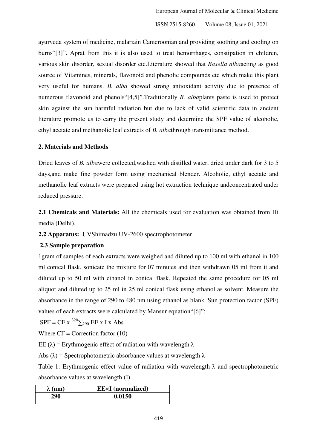ayurveda system of medicine, malariain Cameroonian and providing soothing and cooling on burns"[3]". Aprat from this it is also used to treat hemorrhages, constipation in children, various skin disorder, sexual disorder etc.Literature showed that *Basella alba*acting as good source of Vitamines, minerals, flavonoid and phenolic compounds etc which make this plant very useful for humans. *B. alba* showed strong antioxidant activity due to presence of numerous flavonoid and phenols"[4,5]".Traditionally *B. alba*plants paste is used to protect skin against the sun harmful radiation but due to lack of valid scientific data in ancient literature promote us to carry the present study and determine the SPF value of alcoholic, ethyl acetate and methanolic leaf extracts of *B. alba*through transmittance method.

#### **2. Materials and Methods**

Dried leaves of *B. alba*were collected,washed with distilled water, dried under dark for 3 to 5 days,and make fine powder form using mechanical blender. Alcoholic, ethyl acetate and methanolic leaf extracts were prepared using hot extraction technique andconcentrated under reduced pressure.

**2.1 Chemicals and Materials:** All the chemicals used for evaluation was obtained from Hi media (Delhi).

**2.2 Apparatus:** UVShimadzu UV-2600 spectrophotometer.

# **2.3 Sample preparation**

1gram of samples of each extracts were weighed and diluted up to 100 ml with ethanol in 100 ml conical flask, sonicate the mixture for 07 minutes and then withdrawn 05 ml from it and diluted up to 50 ml with ethanol in conical flask. Repeated the same procedure for 05 ml aliquot and diluted up to 25 ml in 25 ml conical flask using ethanol as solvent. Measure the absorbance in the range of 290 to 480 nm using ethanol as blank. Sun protection factor (SPF) values of each extracts were calculated by Mansur equation"[6]":

 $SPF = CF x^{320} \sum_{290} EE x I x Abs$ 

Where  $CF =$  Correction factor  $(10)$ 

EE (λ) = Erythmogenic effect of radiation with wavelength λ

Abs ( $\lambda$ ) = Spectrophotometric absorbance values at wavelength  $\lambda$ 

Table 1: Erythmogenic effect value of radiation with wavelength  $\lambda$  and spectrophotometric absorbance values at wavelength (I)

| $\lambda$ (nm) | <b>EE</b> ×I (normalized) |  |  |
|----------------|---------------------------|--|--|
| 290            | 0.0150                    |  |  |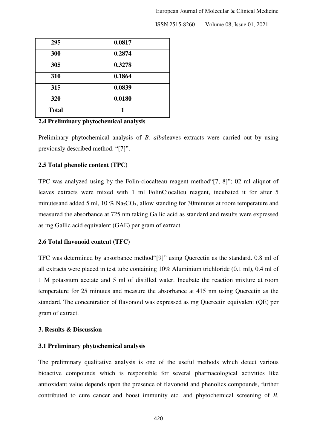| 295          | 0.0817 |
|--------------|--------|
| 300          | 0.2874 |
| 305          | 0.3278 |
| 310          | 0.1864 |
| 315          | 0.0839 |
| 320          | 0.0180 |
| <b>Total</b> | 1      |

# **2.4 Preliminary phytochemical analysis**

Preliminary phytochemical analysis of *B. alba*leaves extracts were carried out by using previously described method. "[7]".

#### **2.5 Total phenolic content (TPC)**

TPC was analyzed using by the Folin-ciocalteau reagent method"[7, 8]"; 02 ml aliquot of leaves extracts were mixed with 1 ml FolinCiocalteu reagent, incubated it for after 5 minutesand added 5 ml,  $10\%$  Na<sub>2</sub>CO<sub>3</sub>, allow standing for 30minutes at room temperature and measured the absorbance at 725 nm taking Gallic acid as standard and results were expressed as mg Gallic acid equivalent (GAE) per gram of extract.

#### **2.6 Total flavonoid content (TFC)**

TFC was determined by absorbance method"[9]" using Quercetin as the standard. 0.8 ml of all extracts were placed in test tube containing 10% Aluminium trichloride (0.1 ml), 0.4 ml of 1 M potassium acetate and 5 ml of distilled water. Incubate the reaction mixture at room temperature for 25 minutes and measure the absorbance at 415 nm using Quercetin as the standard. The concentration of flavonoid was expressed as mg Quercetin equivalent (QE) per gram of extract.

# **3. Results & Discussion**

#### **3.1 Preliminary phytochemical analysis**

The preliminary qualitative analysis is one of the useful methods which detect various bioactive compounds which is responsible for several pharmacological activities like antioxidant value depends upon the presence of flavonoid and phenolics compounds, further contributed to cure cancer and boost immunity etc. and phytochemical screening of *B.*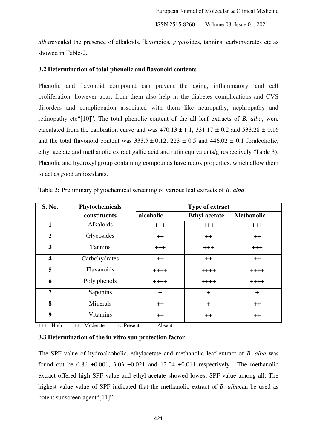*alba*revealed the presence of alkaloids, flavonoids, glycosides, tannins, carbohydrates etc as showed in Table-2.

#### **3.2 Determination of total phenolic and flavonoid contents**

Phenolic and flavonoid compound can prevent the aging, inflammatory, and cell proliferation, however apart from them also help in the diabetes complications and CVS disorders and compliocation associated with them like neuropathy, nephropathy and retinopathy etc"[10]". The total phenolic content of the all leaf extracts of *B. alba*, were calculated from the calibration curve and was  $470.13 \pm 1.1$ ,  $331.17 \pm 0.2$  and  $533.28 \pm 0.16$ and the total flavonoid content was  $333.5 \pm 0.12$ ,  $223 \pm 0.5$  and  $446.02 \pm 0.1$  foralcoholic, ethyl acetate and methanolic extract gallic acid and rutin equivalents/g respectively (Table 3). Phenolic and hydroxyl group containing compounds have redox properties, which allow them to act as good antioxidants.

| S. No.                  | Phytochemicals  | Type of extract |                      |                   |
|-------------------------|-----------------|-----------------|----------------------|-------------------|
|                         | constituents    | alcoholic       | <b>Ethyl</b> acetate | <b>Methanolic</b> |
| 1                       | Alkaloids       | $^{+++}$        | $^{+++}$             | $^{+++}$          |
| $\overline{2}$          | Glycosides      | $++$            | $++$                 | $++$              |
| 3                       | <b>Tannins</b>  | $+ + +$         | $+ + +$              | $+ + +$           |
| $\overline{\mathbf{4}}$ | Carbohydrates   | $++$            | $++$                 | $++$              |
| 5                       | Flavanoids      | $+ + + +$       | $+ + + +$            | $+ + + +$         |
| 6                       | Poly phenols    | $+ + + +$       | $+ + + +$            | $+ + + +$         |
| 7                       | Saponins        | $\pm$           | $\ddot{}$            | $\ddot{}$         |
| 8                       | Minerals        | $^{\mathrm{+}}$ | $\ddot{}$            | $++$              |
| 9                       | <b>Vitamins</b> | $++$            | $++$                 | $++$              |

Table 2**: P**reliminary phytochemical screening of various leaf extracts of *B. alba*

+++: High ++: Moderate +: Present -: Absent

# **3.3 Determination of the in vitro sun protection factor**

The SPF value of hydroalcoholic, ethylacetate and methanolic leaf extract of *B. alba* was found out be 6.86  $\pm 0.001$ , 3.03  $\pm 0.021$  and 12.04  $\pm 0.011$  respectively. The methanolic extract offered high SPF value and ethyl acetate showed lowest SPF value among all. The highest value value of SPF indicated that the methanolic extract of *B. alba*can be used as potent sunscreen agent"[11]".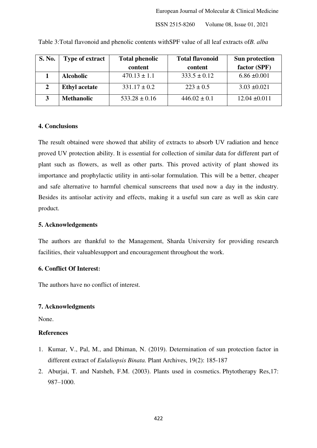| S. No. | <b>Type of extract</b> | <b>Total phenolic</b> | <b>Total flavonoid</b> | Sun protection    |
|--------|------------------------|-----------------------|------------------------|-------------------|
|        |                        | content               | content                | factor (SPF)      |
|        | <b>Alcoholic</b>       | $470.13 \pm 1.1$      | $333.5 \pm 0.12$       | $6.86 \pm 0.001$  |
|        | <b>Ethyl</b> acetate   | $331.17 \pm 0.2$      | $223 \pm 0.5$          | $3.03 \pm 0.021$  |
|        | <b>Methanolic</b>      | $533.28 \pm 0.16$     | $446.02 \pm 0.1$       | $12.04 \pm 0.011$ |

Table 3:Total flavonoid and phenolic contents withSPF value of all leaf extracts of*B. alba* 

# **4. Conclusions**

The result obtained were showed that ability of extracts to absorb UV radiation and hence proved UV protection ability. It is essential for collection of similar data for different part of plant such as flowers, as well as other parts. This proved activity of plant showed its importance and prophylactic utility in anti-solar formulation. This will be a better, cheaper and safe alternative to harmful chemical sunscreens that used now a day in the industry. Besides its antisolar activity and effects, making it a useful sun care as well as skin care product.

# **5. Acknowledgements**

The authors are thankful to the Management, Sharda University for providing research facilities, their valuablesupport and encouragement throughout the work.

# **6. Conflict Of Interest:**

The authors have no conflict of interest.

#### **7. Acknowledgments**

None.

# **References**

- 1. Kumar, V., Pal, M., and Dhiman, N. (2019). Determination of sun protection factor in different extract of *Eulaliopsis Binata.* Plant Archives, 19(2): 185-187
- 2. Aburjai, T. and Natsheh, F.M. (2003). Plants used in cosmetics. Phytotherapy Res,17: 987–1000.